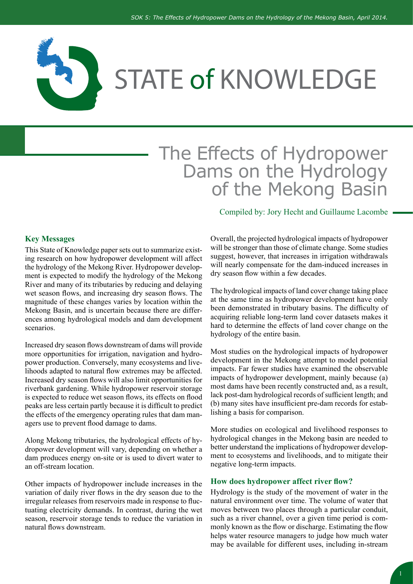

# The Effects of Hydropower Dams on the Hydrology of the Mekong Basin

#### **Key Messages**

This State of Knowledge paper sets out to summarize existing research on how hydropower development will affect the hydrology of the Mekong River. Hydropower development is expected to modify the hydrology of the Mekong River and many of its tributaries by reducing and delaying wet season flows, and increasing dry season flows. The magnitude of these changes varies by location within the Mekong Basin, and is uncertain because there are differences among hydrological models and dam development scenarios.

Increased dry season flows downstream of dams will provide more opportunities for irrigation, navigation and hydropower production. Conversely, many ecosystems and livelihoods adapted to natural flow extremes may be affected. Increased dry season flows will also limit opportunities for riverbank gardening. While hydropower reservoir storage is expected to reduce wet season flows, its effects on flood peaks are less certain partly because it is difficult to predict the effects of the emergency operating rules that dam managers use to prevent flood damage to dams.

Along Mekong tributaries, the hydrological effects of hydropower development will vary, depending on whether a dam produces energy on-site or is used to divert water to an off-stream location.

Other impacts of hydropower include increases in the variation of daily river flows in the dry season due to the irregular releases from reservoirs made in response to fluctuating electricity demands. In contrast, during the wet season, reservoir storage tends to reduce the variation in natural flows downstream.

Compiled by: Jory Hecht and Guillaume Lacombe

Overall, the projected hydrological impacts of hydropower will be stronger than those of climate change. Some studies suggest, however, that increases in irrigation withdrawals will nearly compensate for the dam-induced increases in dry season flow within a few decades.

The hydrological impacts of land cover change taking place at the same time as hydropower development have only been demonstrated in tributary basins. The difficulty of acquiring reliable long-term land cover datasets makes it hard to determine the effects of land cover change on the hydrology of the entire basin.

Most studies on the hydrological impacts of hydropower development in the Mekong attempt to model potential impacts. Far fewer studies have examined the observable impacts of hydropower development, mainly because (a) most dams have been recently constructed and, as a result, lack post-dam hydrological records of sufficient length; and (b) many sites have insufficient pre-dam records for establishing a basis for comparison.

More studies on ecological and livelihood responses to hydrological changes in the Mekong basin are needed to better understand the implications of hydropower development to ecosystems and livelihoods, and to mitigate their negative long-term impacts.

#### **How does hydropower affect river flow?**

Hydrology is the study of the movement of water in the natural environment over time. The volume of water that moves between two places through a particular conduit, such as a river channel, over a given time period is commonly known as the flow or discharge. Estimating the flow helps water resource managers to judge how much water may be available for different uses, including in-stream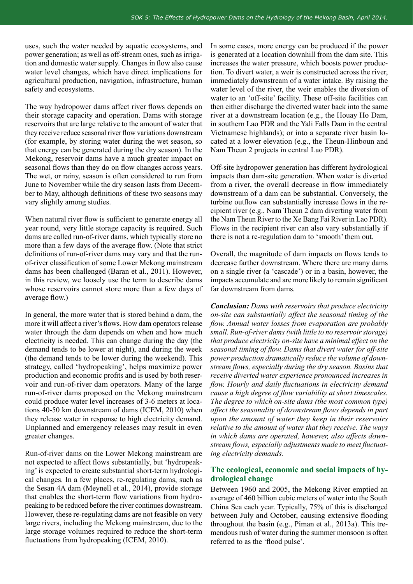uses, such the water needed by aquatic ecosystems, and power generation; as well as off-stream ones, such as irrigation and domestic water supply. Changes in flow also cause water level changes, which have direct implications for agricultural production, navigation, infrastructure, human safety and ecosystems.

The way hydropower dams affect river flows depends on their storage capacity and operation. Dams with storage reservoirs that are large relative to the amount of water that they receive reduce seasonal river flow variations downstream (for example, by storing water during the wet season, so that energy can be generated during the dry season). In the Mekong, reservoir dams have a much greater impact on seasonal flows than they do on flow changes across years. The wet, or rainy, season is often considered to run from June to November while the dry season lasts from December to May, although definitions of these two seasons may vary slightly among studies.

When natural river flow is sufficient to generate energy all year round, very little storage capacity is required. Such dams are called run-of-river dams, which typically store no more than a few days of the average flow. (Note that strict definitions of run-of-river dams may vary and that the runof-river classification of some Lower Mekong mainstream dams has been challenged (Baran et al., 2011). However, in this review, we loosely use the term to describe dams whose reservoirs cannot store more than a few days of average flow.)

In general, the more water that is stored behind a dam, the more it will affect a river's flows. How dam operators release water through the dam depends on when and how much electricity is needed. This can change during the day (the demand tends to be lower at night), and during the week (the demand tends to be lower during the weekend). This strategy, called 'hydropeaking', helps maximize power production and economic profits and is used by both reservoir and run-of-river dam operators. Many of the large run-of-river dams proposed on the Mekong mainstream could produce water level increases of 3-6 meters at locations 40-50 km downstream of dams (ICEM, 2010) when they release water in response to high electricity demand. Unplanned and emergency releases may result in even greater changes.

Run-of-river dams on the Lower Mekong mainstream are not expected to affect flows substantially, but 'hydropeaking' is expected to create substantial short-term hydrological changes. In a few places, re-regulating dams, such as the Sesan 4A dam (Meynell et al., 2014), provide storage that enables the short-term flow variations from hydropeaking to be reduced before the river continues downstream. However, these re-regulating dams are not feasible on very large rivers, including the Mekong mainstream, due to the large storage volumes required to reduce the short-term fluctuations from hydropeaking (ICEM, 2010).

In some cases, more energy can be produced if the power is generated at a location downhill from the dam site. This increases the water pressure, which boosts power production. To divert water, a weir is constructed across the river, immediately downstream of a water intake. By raising the water level of the river, the weir enables the diversion of water to an 'off-site' facility. These off-site facilities can then either discharge the diverted water back into the same river at a downstream location (e.g., the Houay Ho Dam, in southern Lao PDR and the Yali Falls Dam in the central Vietnamese highlands); or into a separate river basin located at a lower elevation (e.g., the Theun-Hinboun and Nam Theun 2 projects in central Lao PDR).

Off-site hydropower generation has different hydrological impacts than dam-site generation. When water is diverted from a river, the overall decrease in flow immediately downstream of a dam can be substantial. Conversely, the turbine outflow can substantially increase flows in the recipient river (e.g., Nam Theun 2 dam diverting water from the Nam Theun River to the Xe Bang Fai River in Lao PDR). Flows in the recipient river can also vary substantially if there is not a re-regulation dam to 'smooth' them out.

Overall, the magnitude of dam impacts on flows tends to decrease farther downstream. Where there are many dams on a single river (a 'cascade') or in a basin, however, the impacts accumulate and are more likely to remain significant far downstream from dams.

*Conclusion: Dams with reservoirs that produce electricity on-site can substantially affect the seasonal timing of the flow. Annual water losses from evaporation are probably small. Run-of-river dams (with little to no reservoir storage) that produce electricity on-site have a minimal effect on the seasonal timing of flow. Dams that divert water for off-site power production dramatically reduce the volume of downstream flows, especially during the dry season. Basins that receive diverted water experience pronounced increases in flow. Hourly and daily fluctuations in electricity demand cause a high degree of flow variability at short timescales. The degree to which on-site dams (the most common type) affect the seasonality of downstream flows depends in part upon the amount of water they keep in their reservoirs relative to the amount of water that they receive. The ways in which dams are operated, however, also affects downstream flows, especially adjustments made to meet fluctuating electricity demands.*

#### **The ecological, economic and social impacts of hydrological change**

Between 1960 and 2005, the Mekong River emptied an average of 460 billion cubic meters of water into the South China Sea each year. Typically, 75% of this is discharged between July and October, causing extensive flooding throughout the basin (e.g., Piman et al., 2013a). This tremendous rush of water during the summer monsoon is often referred to as the 'flood pulse'.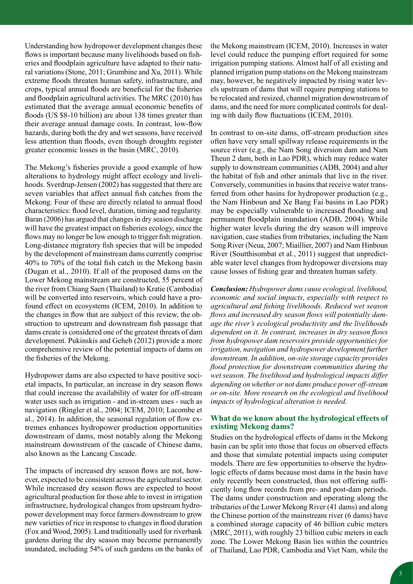Understanding how hydropower development changes these flows is important because many livelihoods based on fisheries and floodplain agriculture have adapted to their natural variations (Stone, 2011; Grumbine and Xu, 2011). While extreme floods threaten human safety, infrastructure, and crops, typical annual floods are beneficial for the fisheries and floodplain agricultural activities. The MRC (2010) has estimated that the average annual economic benefits of floods (US \$8-10 billion) are about 138 times greater than their average annual damage costs. In contrast, low-flow hazards, during both the dry and wet seasons, have received less attention than floods, even though droughts register greater economic losses in the basin (MRC, 2010).

The Mekong's fisheries provide a good example of how alterations to hydrology might affect ecology and livelihoods. Sverdrup-Jensen (2002) has suggested that there are seven variables that affect annual fish catches from the Mekong. Four of these are directly related to annual flood characteristics: flood level, duration, timing and regularity. Baran (2006) has argued that changes in dry season discharge will have the greatest impact on fisheries ecology, since the flows may no longer be low enough to trigger fish migration. Long-distance migratory fish species that will be impeded by the development of mainstream dams currently comprise 40% to 70% of the total fish catch in the Mekong basin (Dugan et al., 2010). If all of the proposed dams on the Lower Mekong mainstream are constructed, 55 percent of the river from Chiang Saen (Thailand) to Kratie (Cambodia) will be converted into reservoirs, which could have a profound effect on ecosystems (ICEM, 2010). In addition to the changes in flow that are subject of this review, the obstruction to upstream and downstream fish passage that dams create is considered one of the greatest threats of dam development. Pukinskis and Geheb (2012) provide a more comprehensive review of the potential impacts of dams on the fisheries of the Mekong.

Hydropower dams are also expected to have positive societal impacts, In particular, an increase in dry season flows that could increase the availability of water for off-stream water uses such as irrigation - and in-stream uses - such as navigation (Ringler et al., 2004; ICEM, 2010; Lacombe et al., 2014). In addition, the seasonal regulation of flow extremes enhances hydropower production opportunities downstream of dams, most notably along the Mekong mainstream downstream of the cascade of Chinese dams, also known as the Lancang Cascade.

The impacts of increased dry season flows are not, however, expected to be consistent across the agricultural sector. While increased dry season flows are expected to boost agricultural production for those able to invest in irrigation infrastructure, hydrological changes from upstream hydropower development may force farmers downstream to grow new varieties of rice in response to changes in flood duration (Fox and Wood, 2005). Land traditionally used for riverbank gardens during the dry season may become permanently inundated, including 54% of such gardens on the banks of the Mekong mainstream (ICEM, 2010). Increases in water level could reduce the pumping effort required for some irrigation pumping stations. Almost half of all existing and planned irrigation pump stations on the Mekong mainstream may, however, be negatively impacted by rising water levels upstream of dams that will require pumping stations to be relocated and resized, channel migration downstream of dams, and the need for more complicated controls for dealing with daily flow fluctuations (ICEM, 2010).

In contrast to on-site dams, off-stream production sites often have very small spillway release requirements in the source river (e.g., the Nam Song diversion dam and Nam Theun 2 dam, both in Lao PDR), which may reduce water supply to downstream communities (ADB, 2004) and alter the habitat of fish and other animals that live in the river. Conversely, communities in basins that receive water transferred from other basins for hydropower production (e.g., the Nam Hinboun and Xe Bang Fai basins in Lao PDR) may be especially vulnerable to increased flooding and permanent floodplain inundation (ADB, 2004). While higher water levels during the dry season will improve navigation, case studies from tributaries, including the Nam Song River (Neua, 2007; Miaillier, 2007) and Nam Hinboun River (Soutthisombat et al., 2011) suggest that unpredictable water level changes from hydropower diversions may cause losses of fishing gear and threaten human safety.

*Conclusion: Hydropower dams cause ecological, livelihood, economic and social impacts, especially with respect to agricultural and fishing livelihoods. Reduced wet season flows and increased dry season flows will potentially damage the river's ecological productivity and the livelihoods dependent on it. In contrast, increases in dry season flows from hydropower dam reservoirs provide opportunities for irrigation, navigation and hydropower development further downstream. In addition, on-site storage capacity provides flood protection for downstream communities during the wet season. The livelihood and hydrological impacts differ depending on whether or not dams produce power off-stream or on-site. More research on the ecological and livelihood impacts of hydrological alteration is needed.*

#### **What do we know about the hydrological effects of existing Mekong dams?**

Studies on the hydrological effects of dams in the Mekong basin can be split into those that focus on observed effects and those that simulate potential impacts using computer models. There are few opportunities to observe the hydrologic effects of dams because most dams in the basin have only recently been constructed, thus not offering sufficiently long flow records from pre- and post-dam periods. The dams under construction and operating along the tributaries of the Lower Mekong River (41 dams) and along the Chinese portion of the mainstream river (6 dams) have a combined storage capacity of 46 billion cubic meters (MRC, 2011), with roughly 23 billion cubic meters in each zone. The Lower Mekong Basin lies within the countries of Thailand, Lao PDR, Cambodia and Viet Nam, while the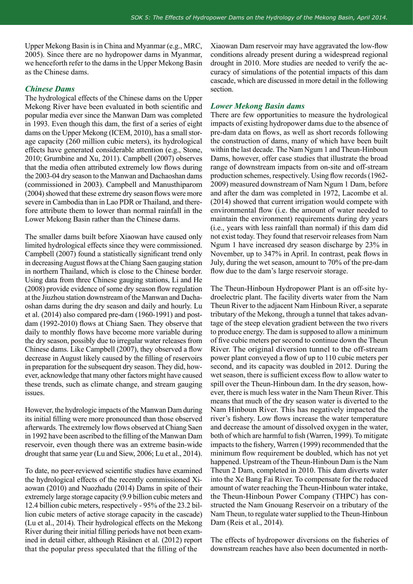Upper Mekong Basin is in China and Myanmar (e.g., MRC, 2005). Since there are no hydropower dams in Myanmar, we henceforth refer to the dams in the Upper Mekong Basin as the Chinese dams.

#### *Chinese Dams*

The hydrological effects of the Chinese dams on the Upper Mekong River have been evaluated in both scientific and popular media ever since the Manwan Dam was completed in 1993. Even though this dam, the first of a series of eight dams on the Upper Mekong (ICEM, 2010), has a small storage capacity (260 million cubic meters), its hydrological effects have generated considerable attention (e.g., Stone, 2010; Grumbine and Xu, 2011). Campbell (2007) observes that the media often attributed extremely low flows during the 2003-04 dry season to the Manwan and Dachaoshan dams (commissioned in 2003). Campbell and Manusthiparom (2004) showed that these extreme dry season flows were more severe in Cambodia than in Lao PDR or Thailand, and therefore attribute them to lower than normal rainfall in the Lower Mekong Basin rather than the Chinese dams.

The smaller dams built before Xiaowan have caused only limited hydrological effects since they were commissioned. Campbell (2007) found a statistically significant trend only in decreasing August flows at the Chiang Saen gauging station in northern Thailand, which is close to the Chinese border. Using data from three Chinese gauging stations, Li and He (2008) provide evidence of some dry season flow regulation at the Jiuzhou station downstream of the Manwan and Dachaoshan dams during the dry season and daily and hourly. Lu et al. (2014) also compared pre-dam (1960-1991) and postdam (1992-2010) flows at Chiang Saen. They observe that daily to monthly flows have become more variable during the dry season, possibly due to irregular water releases from Chinese dams. Like Campbell (2007), they observed a flow decrease in August likely caused by the filling of reservoirs in preparation for the subsequent dry season. They did, however, acknowledge that many other factors might have caused these trends, such as climate change, and stream gauging issues.

However, the hydrologic impacts of the Manwan Dam during its initial filling were more pronounced than those observed afterwards. The extremely low flows observed at Chiang Saen in 1992 have been ascribed to the filling of the Manwan Dam reservoir, even though there was an extreme basin-wide drought that same year (Lu and Siew, 2006; Lu et al., 2014).

To date, no peer-reviewed scientific studies have examined the hydrological effects of the recently commissioned Xiaowan (2010) and Nuozhadu (2014) Dams in spite of their extremely large storage capacity (9.9 billion cubic meters and 12.4 billion cubic meters, respectively - 95% of the 23.2 billion cubic meters of active storage capacity in the cascade) (Lu et al., 2014). Their hydrological effects on the Mekong River during their initial filling periods have not been examined in detail either, although Räsänen et al. (2012) report that the popular press speculated that the filling of the

Xiaowan Dam reservoir may have aggravated the low-flow conditions already present during a widespread regional drought in 2010. More studies are needed to verify the accuracy of simulations of the potential impacts of this dam cascade, which are discussed in more detail in the following section.

#### *Lower Mekong Basin dams*

There are few opportunities to measure the hydrological impacts of existing hydropower dams due to the absence of pre-dam data on flows, as well as short records following the construction of dams, many of which have been built within the last decade. The Nam Ngum 1 and Theun-Hinboun Dams, however, offer case studies that illustrate the broad range of downstream impacts from on-site and off-stream production schemes, respectively. Using flow records (1962- 2009) measured downstream of Nam Ngum 1 Dam, before and after the dam was completed in 1972, Lacombe et al. (2014) showed that current irrigation would compete with environmental flow (i.e. the amount of water needed to maintain the environment) requirements during dry years (i.e., years with less rainfall than normal) if this dam did not exist today. They found that reservoir releases from Nam Ngum 1 have increased dry season discharge by 23% in November, up to 347% in April. In contrast, peak flows in July, during the wet season, amount to 70% of the pre-dam flow due to the dam's large reservoir storage.

The Theun-Hinboun Hydropower Plant is an off-site hydroelectric plant. The facility diverts water from the Nam Theun River to the adjacent Nam Hinboun River, a separate tributary of the Mekong, through a tunnel that takes advantage of the steep elevation gradient between the two rivers to produce energy. The dam is supposed to allow a minimum of five cubic meters per second to continue down the Theun River. The original diversion tunnel to the off-stream power plant conveyed a flow of up to 110 cubic meters per second, and its capacity was doubled in 2012. During the wet season, there is sufficient excess flow to allow water to spill over the Theun-Hinboun dam. In the dry season, however, there is much less water in the Nam Theun River. This means that much of the dry season water is diverted to the Nam Hinboun River. This has negatively impacted the river's fishery. Low flows increase the water temperature and decrease the amount of dissolved oxygen in the water, both of which are harmful to fish (Warren, 1999). To mitigate impacts to the fishery, Warren (1999) recommended that the minimum flow requirement be doubled, which has not yet happened. Upstream of the Theun-Hinboun Dam is the Nam Theun 2 Dam, completed in 2010. This dam diverts water into the Xe Bang Fai River. To compensate for the reduced amount of water reaching the Theun-Hinboun water intake, the Theun-Hinboun Power Company (THPC) has constructed the Nam Gnouang Reservoir on a tributary of the Nam Theun, to regulate water supplied to the Theun-Hinboun Dam (Reis et al., 2014).

The effects of hydropower diversions on the fisheries of downstream reaches have also been documented in north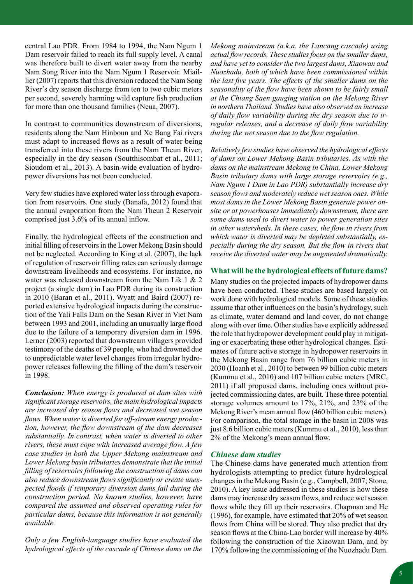central Lao PDR. From 1984 to 1994, the Nam Ngum 1 Dam reservoir failed to reach its full supply level. A canal was therefore built to divert water away from the nearby Nam Song River into the Nam Ngum 1 Reservoir. Miaillier (2007) reports that this diversion reduced the Nam Song River's dry season discharge from ten to two cubic meters per second, severely harming wild capture fish production for more than one thousand families (Neua, 2007).

In contrast to communities downstream of diversions, residents along the Nam Hinboun and Xe Bang Fai rivers must adapt to increased flows as a result of water being transferred into these rivers from the Nam Theun River, especially in the dry season (Soutthisombat et al., 2011; Sioudom et al., 2013). A basin-wide evaluation of hydropower diversions has not been conducted.

Very few studies have explored water loss through evaporation from reservoirs. One study (Banafa, 2012) found that the annual evaporation from the Nam Theun 2 Reservoir comprised just 3.6% of its annual inflow.

Finally, the hydrological effects of the construction and initial filling of reservoirs in the Lower Mekong Basin should not be neglected. According to King et al. (2007), the lack of regulation of reservoir filling rates can seriously damage downstream livelihoods and ecosystems. For instance, no water was released downstream from the Nam Lik 1 & 2 project (a single dam) in Lao PDR during its construction in 2010 (Baran et al., 2011). Wyatt and Baird (2007) reported extensive hydrological impacts during the construction of the Yali Falls Dam on the Sesan River in Viet Nam between 1993 and 2001, including an unusually large flood due to the failure of a temporary diversion dam in 1996. Lerner (2003) reported that downstream villagers provided testimony of the deaths of 39 people, who had drowned due to unpredictable water level changes from irregular hydropower releases following the filling of the dam's reservoir in 1998.

*Conclusion: When energy is produced at dam sites with significant storage reservoirs, the main hydrological impacts are increased dry season flows and decreased wet season flows. When water is diverted for off-stream energy production, however, the flow downstream of the dam decreases substantially. In contrast, when water is diverted to other rivers, these must cope with increased average flow. A few case studies in both the Upper Mekong mainstream and Lower Mekong basin tributaries demonstrate that the initial filling of reservoirs following the construction of dams can also reduce downstream flows significantly or create unexpected floods if temporary diversion dams fail during the construction period. No known studies, however, have compared the assumed and observed operating rules for particular dams, because this information is not generally available.*

*Only a few English-language studies have evaluated the hydrological effects of the cascade of Chinese dams on the* 

*Mekong mainstream (a.k.a. the Lancang cascade) using actual flow records. These studies focus on the smaller dams, and have yet to consider the two largest dams, Xiaowan and Nuozhadu, both of which have been commissioned within the last five years. The effects of the smaller dams on the seasonality of the flow have been shown to be fairly small at the Chiang Saen gauging station on the Mekong River in northern Thailand. Studies have also observed an increase of daily flow variability during the dry season due to irregular releases, and a decrease of daily flow variability during the wet season due to the flow regulation.* 

*Relatively few studies have observed the hydrological effects of dams on Lower Mekong Basin tributaries. As with the dams on the mainstream Mekong in China, Lower Mekong Basin tributary dams with large storage reservoirs (e.g., Nam Ngum 1 Dam in Lao PDR) substantially increase dry season flows and moderately reduce wet season ones. While most dams in the Lower Mekong Basin generate power onsite or at powerhouses immediately downstream, there are some dams used to divert water to power generation sites in other watersheds. In these cases, the flow in rivers from which water is diverted may be depleted substantially, especially during the dry season. But the flow in rivers that receive the diverted water may be augmented dramatically.* 

#### **What will be the hydrological effects of future dams?**

Many studies on the projected impacts of hydropower dams have been conducted. These studies are based largely on work done with hydrological models. Some of these studies assume that other influences on the basin's hydrology, such as climate, water demand and land cover, do not change along with over time. Other studies have explicitly addressed the role that hydropower development could play in mitigating or exacerbating these other hydrological changes. Estimates of future active storage in hydropower reservoirs in the Mekong Basin range from 76 billion cubic meters in 2030 (Hoanh et al., 2010) to between 99 billion cubic meters (Kummu et al., 2010) and 107 billion cubic meters (MRC, 2011) if all proposed dams, including ones without projected commissioning dates, are built. These three potential storage volumes amount to 17%, 21%, and 23% of the Mekong River's mean annual flow (460 billion cubic meters). For comparison, the total storage in the basin in 2008 was just 8.6 billion cubic meters (Kummu et al., 2010), less than 2% of the Mekong's mean annual flow.

#### *Chinese dam studies*

The Chinese dams have generated much attention from hydrologists attempting to predict future hydrological changes in the Mekong Basin (e.g., Campbell, 2007; Stone, 2010). A key issue addressed in these studies is how these dams may increase dry season flows, and reduce wet season flows while they fill up their reservoirs. Chapman and He (1996), for example, have estimated that 20% of wet season flows from China will be stored. They also predict that dry season flows at the China-Lao border will increase by 40% following the construction of the Xiaowan Dam, and by 170% following the commissioning of the Nuozhadu Dam.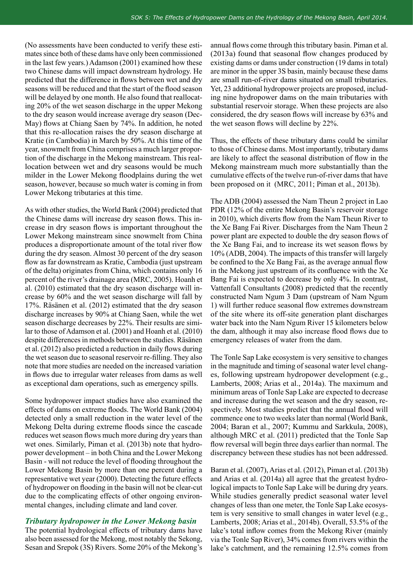(No assessments have been conducted to verify these estimates since both of these dams have only been commissioned in the last few years.) Adamson (2001) examined how these two Chinese dams will impact downstream hydrology. He predicted that the difference in flows between wet and dry seasons will be reduced and that the start of the flood season will be delayed by one month. He also found that reallocating 20% of the wet season discharge in the upper Mekong to the dry season would increase average dry season (Dec-May) flows at Chiang Saen by 74%. In addition, he noted that this re-allocation raises the dry season discharge at Kratie (in Cambodia) in March by 50%. At this time of the year, snowmelt from China comprises a much larger proportion of the discharge in the Mekong mainstream. This reallocation between wet and dry seasons would be much milder in the Lower Mekong floodplains during the wet season, however, because so much water is coming in from Lower Mekong tributaries at this time.

As with other studies, the World Bank (2004) predicted that the Chinese dams will increase dry season flows. This increase in dry season flows is important throughout the Lower Mekong mainstream since snowmelt from China produces a disproportionate amount of the total river flow during the dry season. Almost 30 percent of the dry season flow as far downstream as Kratie, Cambodia (just upstream of the delta) originates from China, which contains only 16 percent of the river's drainage area (MRC, 2005). Hoanh et al. (2010) estimated that the dry season discharge will increase by 60% and the wet season discharge will fall by 17%. Räsänen et al. (2012) estimated that the dry season discharge increases by 90% at Chiang Saen, while the wet season discharge decreases by 22%. Their results are similar to those of Adamson et al. (2001) and Hoanh et al. (2010) despite differences in methods between the studies. Räsänen et al. (2012) also predicted a reduction in daily flows during the wet season due to seasonal reservoir re-filling. They also note that more studies are needed on the increased variation in flows due to irregular water releases from dams as well as exceptional dam operations, such as emergency spills.

Some hydropower impact studies have also examined the effects of dams on extreme floods. The World Bank (2004) detected only a small reduction in the water level of the Mekong Delta during extreme floods since the cascade reduces wet season flows much more during dry years than wet ones. Similarly, Piman et al. (2013b) note that hydropower development – in both China and the Lower Mekong Basin - will not reduce the level of flooding throughout the Lower Mekong Basin by more than one percent during a representative wet year (2000). Detecting the future effects of hydropower on flooding in the basin will not be clear-cut due to the complicating effects of other ongoing environmental changes, including climate and land cover.

#### *Tributary hydropower in the Lower Mekong basin*

The potential hydrological effects of tributary dams have also been assessed for the Mekong, most notably the Sekong, Sesan and Srepok (3S) Rivers. Some 20% of the Mekong's annual flows come through this tributary basin. Piman et al. (2013a) found that seasonal flow changes produced by existing dams or dams under construction (19 dams in total) are minor in the upper 3S basin, mainly because these dams are small run-of-river dams situated on small tributaries. Yet, 23 additional hydropower projects are proposed, including nine hydropower dams on the main tributaries with substantial reservoir storage. When these projects are also considered, the dry season flows will increase by 63% and the wet season flows will decline by 22%.

Thus, the effects of these tributary dams could be similar to those of Chinese dams. Most importantly, tributary dams are likely to affect the seasonal distribution of flow in the Mekong mainstream much more substantially than the cumulative effects of the twelve run-of-river dams that have been proposed on it (MRC, 2011; Piman et al., 2013b).

The ADB (2004) assessed the Nam Theun 2 project in Lao PDR (12% of the entire Mekong Basin's reservoir storage in 2010), which diverts flow from the Nam Theun River to the Xe Bang Fai River. Discharges from the Nam Theun 2 power plant are expected to double the dry season flows of the Xe Bang Fai, and to increase its wet season flows by 10% (ADB, 2004). The impacts of this transfer will largely be confined to the Xe Bang Fai, as the average annual flow in the Mekong just upstream of its confluence with the Xe Bang Fai is expected to decrease by only 4%. In contrast, Vattenfall Consultants (2008) predicted that the recently constructed Nam Ngum 3 Dam (upstream of Nam Ngum 1) will further reduce seasonal flow extremes downstream of the site where its off-site generation plant discharges water back into the Nam Ngum River 15 kilometers below the dam, although it may also increase flood flows due to emergency releases of water from the dam.

The Tonle Sap Lake ecosystem is very sensitive to changes in the magnitude and timing of seasonal water level changes, following upstream hydropower development (e.g., Lamberts, 2008; Arias et al., 2014a). The maximum and minimum areas of Tonle Sap Lake are expected to decrease and increase during the wet season and the dry season, respectively. Most studies predict that the annual flood will commence one to two weeks later than normal (World Bank, 2004; Baran et al., 2007; Kummu and Sarkkula, 2008), although MRC et al. (2011) predicted that the Tonle Sap flow reversal will begin three days earlier than normal. The discrepancy between these studies has not been addressed.

Baran et al. (2007), Arias et al. (2012), Piman et al. (2013b) and Arias et al. (2014a) all agree that the greatest hydrological impacts to Tonle Sap Lake will be during dry years. While studies generally predict seasonal water level changes of less than one meter, the Tonle Sap Lake ecosystem is very sensitive to small changes in water level (e.g., Lamberts, 2008; Arias et al., 2014b). Overall, 53.5% of the lake's total inflow comes from the Mekong River (mainly via the Tonle Sap River), 34% comes from rivers within the lake's catchment, and the remaining 12.5% comes from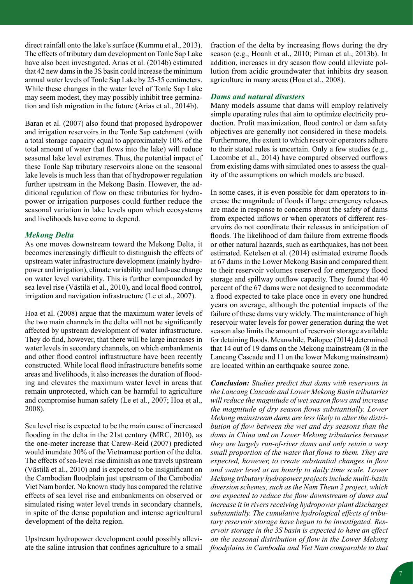direct rainfall onto the lake's surface (Kummu et al., 2013). The effects of tributary dam development on Tonle Sap Lake have also been investigated. Arias et al. (2014b) estimated that 42 new dams in the 3S basin could increase the minimum annual water levels of Tonle Sap Lake by 25-35 centimeters. While these changes in the water level of Tonle Sap Lake may seem modest, they may possibly inhibit tree germination and fish migration in the future (Arias et al., 2014b).

Baran et al. (2007) also found that proposed hydropower and irrigation reservoirs in the Tonle Sap catchment (with a total storage capacity equal to approximately 10% of the total amount of water that flows into the lake) will reduce seasonal lake level extremes. Thus, the potential impact of these Tonle Sap tributary reservoirs alone on the seasonal lake levels is much less than that of hydropower regulation further upstream in the Mekong Basin. However, the additional regulation of flow on these tributaries for hydropower or irrigation purposes could further reduce the seasonal variation in lake levels upon which ecosystems and livelihoods have come to depend.

#### *Mekong Delta*

As one moves downstream toward the Mekong Delta, it becomes increasingly difficult to distinguish the effects of upstream water infrastructure development (mainly hydropower and irrigation), climate variability and land-use change on water level variability. This is further compounded by sea level rise (Västilä et al., 2010), and local flood control, irrigation and navigation infrastructure (Le et al., 2007).

Hoa et al. (2008) argue that the maximum water levels of the two main channels in the delta will not be significantly affected by upstream development of water infrastructure. They do find, however, that there will be large increases in water levels in secondary channels, on which embankments and other flood control infrastructure have been recently constructed. While local flood infrastructure benefits some areas and livelihoods, it also increases the duration of flooding and elevates the maximum water level in areas that remain unprotected, which can be harmful to agriculture and compromise human safety (Le et al., 2007; Hoa et al., 2008).

Sea level rise is expected to be the main cause of increased flooding in the delta in the 21st century (MRC, 2010), as the one-meter increase that Carew-Reid (2007) predicted would inundate 30% of the Vietnamese portion of the delta. The effects of sea-level rise diminish as one travels upstream (Västilä et al., 2010) and is expected to be insignificant on the Cambodian floodplain just upstream of the Cambodia/ Viet Nam border. No known study has compared the relative effects of sea level rise and embankments on observed or simulated rising water level trends in secondary channels, in spite of the dense population and intense agricultural development of the delta region.

Upstream hydropower development could possibly alleviate the saline intrusion that confines agriculture to a small fraction of the delta by increasing flows during the dry season (e.g., Hoanh et al., 2010; Piman et al., 2013b). In addition, increases in dry season flow could alleviate pollution from acidic groundwater that inhibits dry season agriculture in many areas (Hoa et al., 2008).

#### *Dams and natural disasters*

Many models assume that dams will employ relatively simple operating rules that aim to optimize electricity production. Profit maximization, flood control or dam safety objectives are generally not considered in these models. Furthermore, the extent to which reservoir operators adhere to their stated rules is uncertain. Only a few studies (e.g., Lacombe et al., 2014) have compared observed outflows from existing dams with simulated ones to assess the quality of the assumptions on which models are based.

In some cases, it is even possible for dam operators to increase the magnitude of floods if large emergency releases are made in response to concerns about the safety of dams from expected inflows or when operators of different reservoirs do not coordinate their releases in anticipation of floods. The likelihood of dam failure from extreme floods or other natural hazards, such as earthquakes, has not been estimated. Ketelsen et al. (2014) estimated extreme floods at 67 dams in the Lower Mekong Basin and compared them to their reservoir volumes reserved for emergency flood storage and spillway outflow capacity. They found that 40 percent of the 67 dams were not designed to accommodate a flood expected to take place once in every one hundred years on average, although the potential impacts of the failure of these dams vary widely. The maintenance of high reservoir water levels for power generation during the wet season also limits the amount of reservoir storage available for detaining floods. Meanwhile, Pailopee (2014) determined that 14 out of 19 dams on the Mekong mainstream (8 in the Lancang Cascade and 11 on the lower Mekong mainstream) are located within an earthquake source zone.

*Conclusion: Studies predict that dams with reservoirs in the Lancang Cascade and Lower Mekong Basin tributaries will reduce the magnitude of wet season flows and increase the magnitude of dry season flows substantially. Lower Mekong mainstream dams are less likely to alter the distribution of flow between the wet and dry seasons than the dams in China and on Lower Mekong tributaries because they are largely run-of-river dams and only retain a very small proportion of the water that flows to them. They are expected, however, to create substantial changes in flow and water level at an hourly to daily time scale. Lower Mekong tributary hydropower projects include multi-basin diversion schemes, such as the Nam Theun 2 project, which are expected to reduce the flow downstream of dams and increase it in rivers receiving hydropower plant discharges substantially. The cumulative hydrological effects of tributary reservoir storage have begun to be investigated. Reservoir storage in the 3S basin is expected to have an effect on the seasonal distribution of flow in the Lower Mekong floodplains in Cambodia and Viet Nam comparable to that*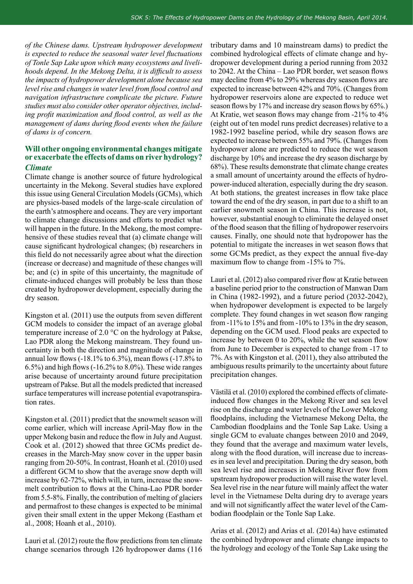*of the Chinese dams. Upstream hydropower development is expected to reduce the seasonal water level fluctuations of Tonle Sap Lake upon which many ecosystems and livelihoods depend. In the Mekong Delta, it is difficult to assess the impacts of hydropower development alone because sea level rise and changes in water level from flood control and navigation infrastructure complicate the picture. Future studies must also consider other operator objectives, including profit maximization and flood control, as well as the management of dams during flood events when the failure of dams is of concern.* 

#### **Will other ongoing environmental changes mitigate or exacerbate the effects of dams on river hydrology?** *Climate*

Climate change is another source of future hydrological uncertainty in the Mekong. Several studies have explored this issue using General Circulation Models (GCMs), which are physics-based models of the large-scale circulation of the earth's atmosphere and oceans. They are very important to climate change discussions and efforts to predict what will happen in the future. In the Mekong, the most comprehensive of these studies reveal that (a) climate change will cause significant hydrological changes; (b) researchers in this field do not necessarily agree about what the direction (increase or decrease) and magnitude of these changes will be; and (c) in spite of this uncertainty, the magnitude of climate-induced changes will probably be less than those created by hydropower development, especially during the dry season.

Kingston et al. (2011) use the outputs from seven different GCM models to consider the impact of an average global temperature increase of 2.0 °C on the hydrology at Pakse, Lao PDR along the Mekong mainstream. They found uncertainty in both the direction and magnitude of change in annual low flows (-18.1% to 6.3%), mean flows (-17.8% to 6.5%) and high flows (-16.2% to 8.0%). These wide ranges arise because of uncertainty around future precipitation upstream of Pakse. But all the models predicted that increased surface temperatures will increase potential evapotranspiration rates.

Kingston et al. (2011) predict that the snowmelt season will come earlier, which will increase April-May flow in the upper Mekong basin and reduce the flow in July and August. Cook et al. (2012) showed that three GCMs predict decreases in the March-May snow cover in the upper basin ranging from 20-50%. In contrast, Hoanh et al. (2010) used a different GCM to show that the average snow depth will increase by 62-72%, which will, in turn, increase the snowmelt contribution to flows at the China-Lao PDR border from 5.5-8%. Finally, the contribution of melting of glaciers and permafrost to these changes is expected to be minimal given their small extent in the upper Mekong (Eastham et al., 2008; Hoanh et al., 2010).

Lauri et al. (2012) route the flow predictions from ten climate change scenarios through 126 hydropower dams (116

tributary dams and 10 mainstream dams) to predict the combined hydrological effects of climate change and hydropower development during a period running from 2032 to 2042. At the China – Lao PDR border, wet season flows may decline from 4% to 29% whereas dry season flows are expected to increase between 42% and 70%. (Changes from hydropower reservoirs alone are expected to reduce wet season flows by 17% and increase dry season flows by 65%.) At Kratie, wet season flows may change from -21% to 4% (eight out of ten model runs predict decreases) relative to a 1982-1992 baseline period, while dry season flows are expected to increase between 55% and 79%. (Changes from hydropower alone are predicted to reduce the wet season discharge by 10% and increase the dry season discharge by 68%). These results demonstrate that climate change creates a small amount of uncertainty around the effects of hydropower-induced alteration, especially during the dry season. At both stations, the greatest increases in flow take place toward the end of the dry season, in part due to a shift to an earlier snowmelt season in China. This increase is not, however, substantial enough to eliminate the delayed onset of the flood season that the filling of hydropower reservoirs causes. Finally, one should note that hydropower has the potential to mitigate the increases in wet season flows that some GCMs predict, as they expect the annual five-day maximum flow to change from -15% to 7%.

Lauri et al. (2012) also compared river flow at Kratie between a baseline period prior to the construction of Manwan Dam in China (1982-1992), and a future period (2032-2042), when hydropower development is expected to be largely complete. They found changes in wet season flow ranging from -11% to 15% and from -10% to 13% in the dry season, depending on the GCM used. Flood peaks are expected to increase by between 0 to 20%, while the wet season flow from June to December is expected to change from -17 to 7%. As with Kingston et al. (2011), they also attributed the ambiguous results primarily to the uncertainty about future precipitation changes.

Västilä et al. (2010) explored the combined effects of climateinduced flow changes in the Mekong River and sea level rise on the discharge and water levels of the Lower Mekong floodplains, including the Vietnamese Mekong Delta, the Cambodian floodplains and the Tonle Sap Lake. Using a single GCM to evaluate changes between 2010 and 2049, they found that the average and maximum water levels, along with the flood duration, will increase due to increases in sea level and precipitation. During the dry season, both sea level rise and increases in Mekong River flow from upstream hydropower production will raise the water level. Sea level rise in the near future will mainly affect the water level in the Vietnamese Delta during dry to average years and will not significantly affect the water level of the Cambodian floodplain or the Tonle Sap Lake.

Arias et al. (2012) and Arias et al. (2014a) have estimated the combined hydropower and climate change impacts to the hydrology and ecology of the Tonle Sap Lake using the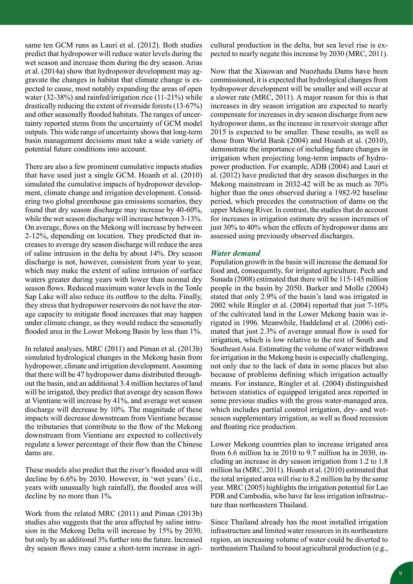same ten GCM runs as Lauri et al. (2012). Both studies predict that hydropower will reduce water levels during the wet season and increase them during the dry season. Arias et al. (2014a) show that hydropower development may aggravate the changes in habitat that climate change is expected to cause, most notably expanding the areas of open water (32-38%) and rainfed/irrigation rice (11-21%) while drastically reducing the extent of riverside forests (13-67%) and other seasonally flooded habitats. The ranges of uncertainty reported stems from the uncertainty of GCM model outputs. This wide range of uncertainty shows that long-term basin management decisions must take a wide variety of potential future conditions into account.

There are also a few prominent cumulative impacts studies that have used just a single GCM. Hoanh et al. (2010) simulated the cumulative impacts of hydropower development, climate change and irrigation development. Considering two global greenhouse gas emissions scenarios, they found that dry season discharge may increase by 40-60%, while the wet season discharge will increase between 3-13%. On average, flows on the Mekong will increase by between 2-12%, depending on location. They predicted that increases to average dry season discharge will reduce the area of saline intrusion in the delta by about 14%. Dry season discharge is not, however, consistent from year to year, which may make the extent of saline intrusion of surface waters greater during years with lower than normal dry season flows. Reduced maximum water levels in the Tonle Sap Lake will also reduce its outflow to the delta. Finally, they stress that hydropower reservoirs do not have the storage capacity to mitigate flood increases that may happen under climate change, as they would reduce the seasonally flooded area in the Lower Mekong Basin by less than 1%.

In related analyses, MRC (2011) and Piman et al. (2013b) simulated hydrological changes in the Mekong basin from hydropower, climate and irrigation development. Assuming that there will be 47 hydropower dams distributed throughout the basin, and an additional 3.4 million hectares of land will be irrigated, they predict that average dry season flows at Vientiane will increase by 41%, and average wet season discharge will decrease by 10%. The magnitude of these impacts will decrease downstream from Vientiane because the tributaries that contribute to the flow of the Mekong downstream from Vientiane are expected to collectively regulate a lower percentage of their flow than the Chinese dams are.

These models also predict that the river's flooded area will decline by 6.6% by 2030. However, in 'wet years' (i.e., years with unusually high rainfall), the flooded area will decline by no more than 1%.

Work from the related MRC (2011) and Piman (2013b) studies also suggests that the area affected by saline intrusion in the Mekong Delta will increase by 15% by 2030, but only by an additional 3% further into the future. Increased dry season flows may cause a short-term increase in agricultural production in the delta, but sea level rise is expected to nearly negate this increase by 2030 (MRC, 2011).

Now that the Xiaowan and Nuozhadu Dams have been commissioned, it is expected that hydrological changes from hydropower development will be smaller and will occur at a slower rate (MRC, 2011). A major reason for this is that increases in dry season irrigation are expected to nearly compensate for increases in dry season discharge from new hydropower dams, as the increase in reservoir storage after 2015 is expected to be smaller. These results, as well as those from World Bank (2004) and Hoanh et al. (2010), demonstrate the importance of including future changes in irrigation when projecting long-term impacts of hydropower production. For example, ADB (2004) and Lauri et al. (2012) have predicted that dry season discharges in the Mekong mainstream in 2032-42 will be as much as 70% higher than the ones observed during a 1982-92 baseline period, which precedes the construction of dams on the upper Mekong River. In contrast, the studies that do account for increases in irrigation estimate dry season increases of just 30% to 40% when the effects of hydropower dams are assessed using previously observed discharges.

#### *Water demand*

Population growth in the basin will increase the demand for food and, consequently, for irrigated agriculture. Pech and Sunada (2008) estimated that there will be 115-145 million people in the basin by 2050. Barker and Molle (2004) stated that only 2.9% of the basin's land was irrigated in 2002 while Ringler et al. (2004) reported that just 7-10% of the cultivated land in the Lower Mekong basin was irrigated in 1996. Meanwhile, Haddeland et al. (2006) estimated that just 2.3% of average annual flow is used for irrigation, which is low relative to the rest of South and Southeast Asia. Estimating the volume of water withdrawn for irrigation in the Mekong basin is especially challenging, not only due to the lack of data in some places but also because of problems defining which irrigation actually means. For instance, Ringler et al. (2004) distinguished between statistics of equipped irrigated area reported in some previous studies with the gross water-managed area, which includes partial control irrigation, dry- and wetseason supplementary irrigation, as well as flood recession and floating rice production.

Lower Mekong countries plan to increase irrigated area from 6.6 million ha in 2010 to 9.7 million ha in 2030, including an increase in dry season irrigation from 1.2 to 1.8 million ha (MRC, 2011). Hoanh et al. (2010) estimated that the total irrigated area will rise to 8.2 million ha by the same year. MRC (2005) highlights the irrigation potential for Lao PDR and Cambodia, who have far less irrigation infrastructure than northeastern Thailand.

Since Thailand already has the most installed irrigation infrastructure and limited water resources in its northeastern region, an increasing volume of water could be diverted to northeastern Thailand to boost agricultural production (e.g.,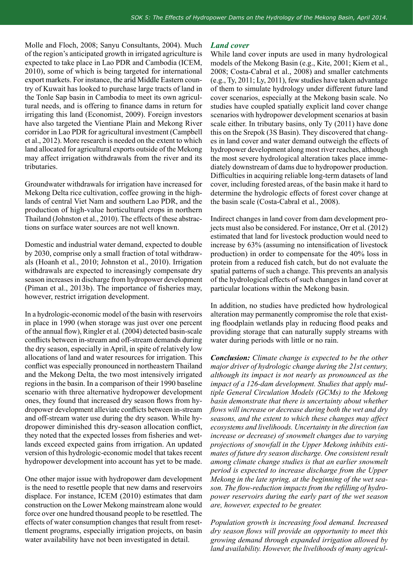Molle and Floch, 2008; Sanyu Consultants, 2004). Much of the region's anticipated growth in irrigated agriculture is expected to take place in Lao PDR and Cambodia (ICEM, 2010), some of which is being targeted for international export markets. For instance, the arid Middle Eastern country of Kuwait has looked to purchase large tracts of land in the Tonle Sap basin in Cambodia to meet its own agricultural needs, and is offering to finance dams in return for irrigating this land (Economist, 2009). Foreign investors have also targeted the Vientiane Plain and Mekong River corridor in Lao PDR for agricultural investment (Campbell et al., 2012). More research is needed on the extent to which land allocated for agricultural exports outside of the Mekong may affect irrigation withdrawals from the river and its tributaries.

Groundwater withdrawals for irrigation have increased for Mekong Delta rice cultivation, coffee growing in the highlands of central Viet Nam and southern Lao PDR, and the production of high-value horticultural crops in northern Thailand (Johnston et al., 2010). The effects of these abstractions on surface water sources are not well known.

Domestic and industrial water demand, expected to double by 2030, comprise only a small fraction of total withdrawals (Hoanh et al., 2010; Johnston et al., 2010). Irrigation withdrawals are expected to increasingly compensate dry season increases in discharge from hydropower development (Piman et al., 2013b). The importance of fisheries may, however, restrict irrigation development.

In a hydrologic-economic model of the basin with reservoirs in place in 1990 (when storage was just over one percent of the annual flow), Ringler et al. (2004) detected basin-scale conflicts between in-stream and off-stream demands during the dry season, especially in April, in spite of relatively low allocations of land and water resources for irrigation. This conflict was especially pronounced in northeastern Thailand and the Mekong Delta, the two most intensively irrigated regions in the basin. In a comparison of their 1990 baseline scenario with three alternative hydropower development ones, they found that increased dry season flows from hydropower development alleviate conflicts between in-stream and off-stream water use during the dry season. While hydropower diminished this dry-season allocation conflict, they noted that the expected losses from fisheries and wetlands exceed expected gains from irrigation. An updated version of this hydrologic-economic model that takes recent hydropower development into account has yet to be made.

One other major issue with hydropower dam development is the need to resettle people that new dams and reservoirs displace. For instance, ICEM (2010) estimates that dam construction on the Lower Mekong mainstream alone would force over one hundred thousand people to be resettled. The effects of water consumption changes that result from resettlement programs, especially irrigation projects, on basin water availability have not been investigated in detail.

#### *Land cover*

While land cover inputs are used in many hydrological models of the Mekong Basin (e.g., Kite, 2001; Kiem et al., 2008; Costa-Cabral et al., 2008) and smaller catchments (e.g., Ty, 2011; Ly, 2011), few studies have taken advantage of them to simulate hydrology under different future land cover scenarios, especially at the Mekong basin scale. No studies have coupled spatially explicit land cover change scenarios with hydropower development scenarios at basin scale either. In tributary basins, only Ty (2011) have done this on the Srepok (3S Basin). They discovered that changes in land cover and water demand outweigh the effects of hydropower development along most river reaches, although the most severe hydrological alteration takes place immediately downstream of dams due to hydropower production. Difficulties in acquiring reliable long-term datasets of land cover, including forested areas, of the basin make it hard to determine the hydrologic effects of forest cover change at the basin scale (Costa-Cabral et al., 2008).

Indirect changes in land cover from dam development projects must also be considered. For instance, Orr et al. (2012) estimated that land for livestock production would need to increase by 63% (assuming no intensification of livestock production) in order to compensate for the 40% loss in protein from a reduced fish catch, but do not evaluate the spatial patterns of such a change. This prevents an analysis of the hydrological effects of such changes in land cover at particular locations within the Mekong basin.

In addition, no studies have predicted how hydrological alteration may permanently compromise the role that existing floodplain wetlands play in reducing flood peaks and providing storage that can naturally supply streams with water during periods with little or no rain.

*Conclusion: Climate change is expected to be the other major driver of hydrologic change during the 21st century, although its impact is not nearly as pronounced as the impact of a 126-dam development. Studies that apply multiple General Circulation Models (GCMs) to the Mekong basin demonstrate that there is uncertainty about whether flows will increase or decrease during both the wet and dry seasons, and the extent to which these changes may affect ecosystems and livelihoods. Uncertainty in the direction (an increase or decrease) of snowmelt changes due to varying projections of snowfall in the Upper Mekong inhibits estimates of future dry season discharge. One consistent result among climate change studies is that an earlier snowmelt period is expected to increase discharge from the Upper Mekong in the late spring, at the beginning of the wet season. The flow-reduction impacts from the refilling of hydropower reservoirs during the early part of the wet season are, however, expected to be greater.*

*Population growth is increasing food demand. Increased dry season flows will provide an opportunity to meet this growing demand through expanded irrigation allowed by land availability. However, the livelihoods of many agricul-*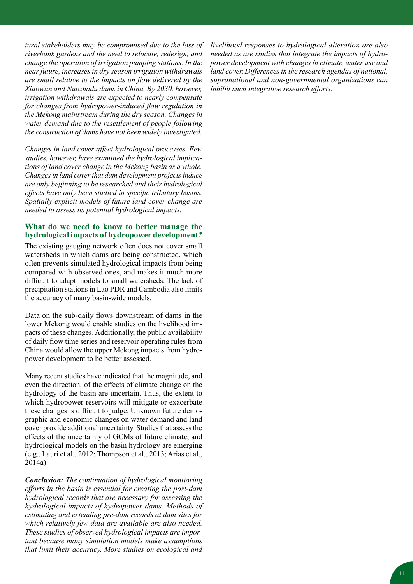*tural stakeholders may be compromised due to the loss of riverbank gardens and the need to relocate, redesign, and change the operation of irrigation pumping stations. In the near future, increases in dry season irrigation withdrawals are small relative to the impacts on flow delivered by the Xiaowan and Nuozhadu dams in China. By 2030, however, irrigation withdrawals are expected to nearly compensate for changes from hydropower-induced flow regulation in the Mekong mainstream during the dry season. Changes in water demand due to the resettlement of people following the construction of dams have not been widely investigated.* 

*Changes in land cover affect hydrological processes. Few studies, however, have examined the hydrological implications of land cover change in the Mekong basin as a whole. Changes in land cover that dam development projects induce are only beginning to be researched and their hydrological effects have only been studied in specific tributary basins. Spatially explicit models of future land cover change are needed to assess its potential hydrological impacts.*

#### **What do we need to know to better manage the hydrological impacts of hydropower development?**

The existing gauging network often does not cover small watersheds in which dams are being constructed, which often prevents simulated hydrological impacts from being compared with observed ones, and makes it much more difficult to adapt models to small watersheds. The lack of precipitation stations in Lao PDR and Cambodia also limits the accuracy of many basin-wide models.

Data on the sub-daily flows downstream of dams in the lower Mekong would enable studies on the livelihood impacts of these changes. Additionally, the public availability of daily flow time series and reservoir operating rules from China would allow the upper Mekong impacts from hydropower development to be better assessed.

Many recent studies have indicated that the magnitude, and even the direction, of the effects of climate change on the hydrology of the basin are uncertain. Thus, the extent to which hydropower reservoirs will mitigate or exacerbate these changes is difficult to judge. Unknown future demographic and economic changes on water demand and land cover provide additional uncertainty. Studies that assess the effects of the uncertainty of GCMs of future climate, and hydrological models on the basin hydrology are emerging (e.g., Lauri et al., 2012; Thompson et al., 2013; Arias et al., 2014a).

*Conclusion: The continuation of hydrological monitoring efforts in the basin is essential for creating the post-dam hydrological records that are necessary for assessing the hydrological impacts of hydropower dams. Methods of estimating and extending pre-dam records at dam sites for which relatively few data are available are also needed. These studies of observed hydrological impacts are important because many simulation models make assumptions that limit their accuracy. More studies on ecological and* 

*livelihood responses to hydrological alteration are also needed as are studies that integrate the impacts of hydropower development with changes in climate, water use and land cover. Differences in the research agendas of national, supranational and non-governmental organizations can inhibit such integrative research efforts.*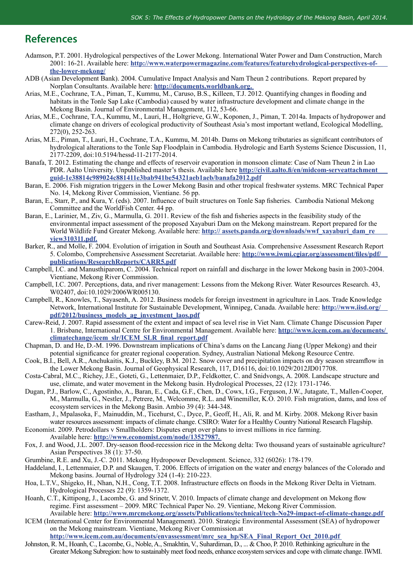### **References**

- Adamson, P.T. 2001. Hydrological perspectives of the Lower Mekong. International Water Power and Dam Construction, March 2001: 16-21. Available here: **http://www.waterpowermagazine.com/features/featurehydrological-perspectives-ofthe-lower-mekong/**
- ADB (Asian Development Bank). 2004. Cumulative Impact Analysis and Nam Theun 2 contributions. Report prepared by Norplan Consultants. Available here: **http://documents.worldbank.org.**
- Arias, M.E., Cochrane, T.A., Piman, T., Kummu, M., Caruso, B.S., Killeen, T.J. 2012. Quantifying changes in flooding and habitats in the Tonle Sap Lake (Cambodia) caused by water infrastructure development and climate change in the Mekong Basin. Journal of Environmental Management, 112, 53-66.
- Arias, M.E., Cochrane, T.A., Kummu, M., Lauri, H., Holtgrieve, G.W., Koponen, J., Piman, T. 2014a. Impacts of hydropower and climate change on drivers of ecological productivity of Southeast Asia's most important wetland, Ecological Modelling, 272(0), 252-263.
- Arias, M.E., Piman, T., Lauri, H., Cochrane, T.A., Kummu, M. 2014b. Dams on Mekong tributaries as significant contributors of hydrological alterations to the Tonle Sap Floodplain in Cambodia. Hydrologic and Earth Systems Science Discussion, 11, 2177-2209, doi:10.5194/hessd-11-2177-2014.
- Banafa, T. 2012. Estimating the change and effects of reservoir evaporation in monsoon climate: Case of Nam Theun 2 in Lao PDR. Aalto University. Unpublished master's thesis. Available here **http://civil.aalto.fi/en/midcom-serveattachment guid-1e38814c989024c881411e3bab941be54321aeb1aeb/banafa2012.pdf**
- Baran, E. 2006. Fish migration triggers in the Lower Mekong Basin and other tropical freshwater systems. MRC Technical Paper No. 14, Mekong River Commission, Vientiane. 56 pp.
- Baran, E., Starr, P., and Kura, Y. (eds). 2007. Influence of built structures on Tonle Sap fisheries. Cambodia National Mekong Committee and the WorldFish Center. 44 pp.
- Baran, E., Larinier, M., Ziv, G., Marmulla, G. 2011. Review of the fish and fisheries aspects in the feasibility study of the environmental impact assessment of the proposed Xayaburi Dam on the Mekong mainstream. Report prepared for the World Wildlife Fund Greater Mekong. Available here: **http:// assets.panda.org/downloads/wwf\_xayaburi\_dam\_re view310311.pdf.**
- Barker, R., and Molle, F. 2004. Evolution of irrigation in South and Southeast Asia. Comprehensive Assessment Research Report 5. Colombo, Comprehensive Assessment Secretariat. Available here: **http://www.iwmi.cgiar.org/assessment/files/pdf/ publications/ResearchReports/CARR5.pdf**
- Campbell, I.C. and Manusthiparom, C. 2004. Technical report on rainfall and discharge in the lower Mekong basin in 2003-2004. Vientiane, Mekong River Commission.
- Campbell, I.C. 2007. Perceptions, data, and river management: Lessons from the Mekong River. Water Resources Research. 43, W02407, doi:10.1029/2006WR005130.
- Campbell, R., Knowles, T., Sayasenh, A. 2012. Business models for foreign investment in agriculture in Laos. Trade Knowledge Network, International Institute for Sustainable Development, Winnipeg, Canada. Available here: **http://www.iisd.org/ pdf/2012/business\_models\_ag\_investment\_laos.pdf**
- Carew-Reid, J. 2007. Rapid assessment of the extent and impact of sea level rise in Viet Nam. Climate Change Discussion Paper 1. Brisbane, International Centre for Environmental Management. Available here: **http://www.icem.com.au/documents/ climatechange/icem\_slr/ICEM\_SLR\_final\_report.pdf**
- Chapman, D. and He, D.-M. 1996. Downstream implications of China's dams on the Lancang Jiang (Upper Mekong) and their potential significance for greater regional cooperation. Sydney, Australian National Mekong Resource Centre.
- Cook, B.I., Bell, A.R., Anchukaitis, K.J., Buckley, B.M. 2012. Snow cover and precipitation impacts on dry season streamflow in the Lower Mekong Basin. Journal of Geophysical Research, 117, D16116, doi:10.1029/2012JD017708.
- Costa-Cabral, M.C., Richey, J.E., Goteti, G., Lettenmaier, D.P., Feldkotter, C. and Snidvongs, A. 2008. Landscape structure and use, climate, and water movement in the Mekong basin. Hydrological Processes, 22 (12): 1731-1746.
- Dugan, P.J., Barlow, C., Agostinho, A., Baran, E., Cada, G.F., Chen, D., Cowx, I.G., Ferguson, J.W., Jutagate, T., Mallen-Cooper, M., Marmulla, G., Nestler, J., Petrere, M., Welcomme, R.L. and Winemiller, K.O. 2010. Fish migration, dams, and loss of ecosystem services in the Mekong Basin. Ambio 39 (4): 344-348.
- Eastham, J., Mpalasoka, F., Mainuddin, M., Ticehurst, C., Dyce, P., Geoff, H., Ali, R. and M. Kirby. 2008. Mekong River basin water resources assessment: impacts of climate change. CSIRO: Water for a Healthy Country National Research Flagship.
- Economist. 2009. Petrodollars v Smallholders: Disputes erupt over plans to invest millions in rice farming. Available here: **http://www.economist.com/node/13527987.**
- Fox, J. and Wood, J.L. 2007. Dry-season flood-recession rice in the Mekong delta: Two thousand years of sustainable agriculture? Asian Perspectives 38 (1): 37-50.
- Grumbine, R.E. and Xu, J.-C. 2011. Mekong Hydropower Development. Science, 332 (6026): 178-179.
- Haddeland, I., Lettenmaier, D.P. and Skaugen, T. 2006. Effects of irrigation on the water and energy balances of the Colorado and Mekong basins. Journal of Hydrology 324 (1-4): 210-223.
- Hoa, L.T.V., Shigeko, H., Nhan, N.H., Cong, T.T. 2008. Infrastructure effects on floods in the Mekong River Delta in Vietnam. Hydrological Processes 22 (9): 1359-1372.
- Hoanh, C.T., Kittipong, J., Lacombe, G. and Srinetr, V. 2010. Impacts of climate change and development on Mekong flow regime. First assessment – 2009. MRC Technical Paper No. 29. Vientiane, Mekong River Commission. Available here: **http://www.mrcmekong.org/assets/Publications/technical/tech-No29-impact-of-climate-change.pdf**
- ICEM (International Center for Environmental Management). 2010. Strategic Environmental Assessment (SEA) of hydropower on the Mekong mainstream. Vientiane, Mekong River Commission.at
- **http://www.icem.com.au/documents/envassessment/mrc\_sea\_hp/SEA\_Final\_Report\_Oct\_2010.pdf**  Johnston, R. M., Hoanh, C., Lacombe, G., Noble, A., Smakhtin, V., Suhardiman, D., ... & Choo, P. 2010. Rethinking agriculture in the
- Greater Mekong Subregion: how to sustainably meet food needs, enhance ecosystem services and cope with climate change. IWMI.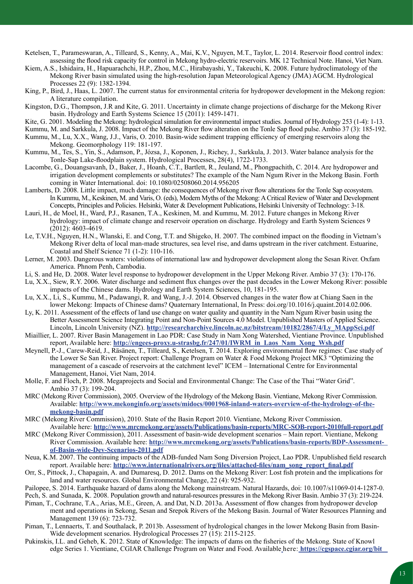Ketelsen, T., Parameswaran, A., Tilleard, S., Kenny, A., Mai, K.V., Nguyen, M.T., Taylor, L. 2014. Reservoir flood control index: assessing the flood risk capacity for control in Mekong hydro-electric reservoirs. MK 12 Technical Note. Hanoi, Viet Nam.

- Kiem, A.S., Ishidaira, H., Hapuarachchi, H.P., Zhou, M.C., Hirabayashi, Y., Takeuchi, K. 2008. Future hydroclimatology of the Mekong River basin simulated using the high-resolution Japan Meteorological Agency (JMA) AGCM. Hydrological Processes 22 (9): 1382-1394.
- King, P., Bird, J., Haas, L. 2007. The current status for environmental criteria for hydropower development in the Mekong region: A literature compilation.
- Kingston, D.G., Thompson, J.R and Kite, G. 2011. Uncertainty in climate change projections of discharge for the Mekong River basin. Hydrology and Earth Systems Science 15 (2011): 1459-1471.
- Kite, G. 2001. Modeling the Mekong: hydrological simulation for environmental impact studies. Journal of Hydrology 253 (1-4): 1-13.
- Kummu, M. and Sarkkula, J. 2008. Impact of the Mekong River flow alteration on the Tonle Sap flood pulse. Ambio 37 (3): 185-192.
- Kummu, M., Lu, X.X., Wang, J.J., Varis, O. 2010. Basin-wide sediment trapping efficiency of emerging reservoirs along the Mekong. Geomorphology 119: 181-197.
- Kummu, M., Tes, S., Yin, S., Adamson, P., Józsa, J., Koponen, J., Richey, J., Sarkkula, J. 2013. Water balance analysis for the Tonle-Sap Lake-floodplain system. Hydrological Processes, 28(4), 1722-1733.
- Lacombe, G., Douangsavanh, D., Baker, J., Hoanh, C.T., Bartlett, R., Jeuland, M., Phongpachith, C. 2014. Are hydropower and irrigation development complements or substitutes? The example of the Nam Ngum River in the Mekong Basin. Forth coming in Water International. doi: 10.1080/02508060.2014.956205
- Lamberts, D. 2008. Little impact, much damage: the consequences of Mekong river flow alterations for the Tonle Sap ecosystem. In Kummu, M., Keskinen, M. and Varis, O. (eds), Modern Myths of the Mekong: A Critical Review of Water and Development Concepts, Principles and Policies. Helsinki, Water & Development Publications, Helsinki University of Technology: 3-18.
- Lauri, H., de Moel, H., Ward, P.J., Rasanen, T.A., Keskinen, M. and Kummu, M. 2012. Future changes in Mekong River hydrology: impact of climate change and reservoir operation on discharge. Hydrology and Earth System Sciences 9 (2012): 4603-4619.
- Le, T.V.H., Nguyen, H.N., Wlanski, E. and Cong, T.T. and Shigeko, H. 2007. The combined impact on the flooding in Vietnam's Mekong River delta of local man-made structures, sea level rise, and dams upstream in the river catchment. Estuarine, Coastal and Shelf Science 71 (1-2): 110-116.
- Lerner, M. 2003. Dangerous waters: violations of international law and hydropower development along the Sesan River. Oxfam America. Phnom Penh, Cambodia.
- Li, S. and He, D. 2008. Water level response to hydropower development in the Upper Mekong River. Ambio 37 (3): 170-176.
- Lu, X.X., Siew, R.Y. 2006. Water discharge and sediment flux changes over the past decades in the Lower Mekong River: possible impacts of the Chinese dams. Hydrology and Earth System Sciences, 10, 181-195.
- Lu, X.X., Li, S., Kummu, M., Padawangi, R. and Wang, J.-J. 2014. Observed changes in the water flow at Chiang Saen in the lower Mekong: Impacts of Chinese dams? Quaternary International, In Press: doi.org/10.1016/j.quaint.2014.02.006.
- Ly, K. 2011. Assessment of the effects of land use change on water quality and quantity in the Nam Ngum River basin using the Better Assessment Science Integrating Point and Non-Point Sources 4.0 Model. Unpublished Masters of Applied Science. Lincoln, Lincoln University (NZ). **http://researcharchive.lincoln.ac.nz/bitstream/10182/2867/4/Ly\_MAppSci.pdf**
- Miaillier, L. 2007. River Basin Management in Lao PDR: Case Study in Nam Xong Watershed, Vientiane Province. Unpublished report, Available here: **http://engees-proxy.u-strasbg.fr/247/01/IWRM\_in\_Laos\_Nam\_Xong\_Wsh.pdf**
- Meynell, P.-J., Carew-Reid, J., Räsänen, T., Tilleard, S., Ketelsen, T. 2014. Exploring environmental flow regimes: Case study of the Lower Se San River. Project report: Challenge Program on Water & Food Mekong Project MK3 "Optimizing the management of a cascade of reservoirs at the catchment level" ICEM – International Centre for Environmental Management, Hanoi, Viet Nam, 2014.
- Molle, F. and Floch, P. 2008. Megaprojects and Social and Environmental Change: The Case of the Thai "Water Grid". Ambio 37 (3): 199-204.
- MRC (Mekong River Commission), 2005. Overview of the Hydrology of the Mekong Basin. Vientiane, Mekong River Commission. Available: http://www.mekonginfo.org/assets/midocs/0001968-inland-waters-overview-of-the-hydrology-of-the**mekong-basin.pdf**
- MRC (Mekong River Commission), 2010. State of the Basin Report 2010. Vientiane, Mekong River Commission. Available here: **http://www.mrcmekong.org/assets/Publications/basin-reports/MRC-SOB-report-2010full-report.pdf**
- MRC (Mekong River Commission), 2011. Assessment of basin-wide development scenarios Main report. Vientiane, Mekong River Commission. Available here: **http://www.mrcmekong.org/assets/Publications/basin-reports/BDP-Assessmentof-Basin-wide-Dev-Scenarios-2011.pdf**
- Neua, K.M. 2007. The continuing impacts of the ADB-funded Nam Song Diversion Project, Lao PDR. Unpublished field research report. Available here: **http://www.internationalrivers.org/files/attached-files/nam\_song\_report\_final.pdf**
- Orr, S., Pittock, J., Chapagain, A. and Dumaresq, D. 2012. Dams on the Mekong River: Lost fish protein and the implications for land and water resources. Global Environmental Change, 22 (4): 925-932.
- Pailopee, S. 2014. Earthquake hazard of dams along the Mekong mainstream. Natural Hazards, doi: 10.1007/s11069-014-1287-0.

Pech, S. and Sunada, K. 2008. Population growth and natural-resources pressures in the Mekong River Basin. Ambio 37 (3): 219-224. Piman, T., Cochrane, T.A., Arias, M.E., Green, A. and Dat, N.D. 2013a. Assessment of flow changes from hydropower develop

- ment and operations in Sekong, Sesan and Srepok Rivers of the Mekong Basin. Journal of Water Resources Planning and Management 139 (6): 723-732.
- Piman, T., Lennaerts, T. and Southalack, P. 2013b. Assessment of hydrological changes in the lower Mekong Basin from Basin-Wide development scenarios. Hydrological Processes 27 (15): 2115-2125.
- Pukinskis, I.L. and Geheb, K. 2012. State of Knowledge: The impacts of dams on the fisheries of the Mekong. State of Knowl edge Series 1. Vientiane, CGIAR Challenge Program on Water and Food. Available here: **https://cgspace.cgiar.org/bit**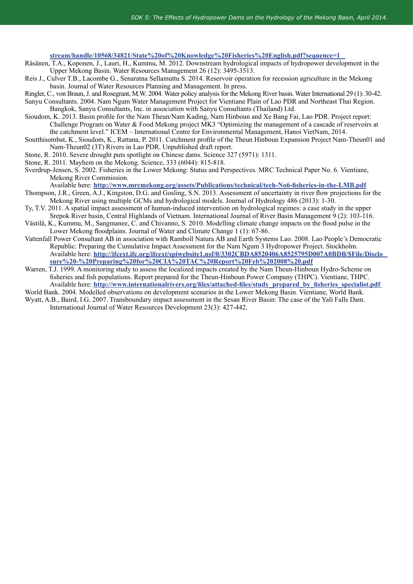**stream/handle/10568/34821/State%20of%20Knowledge%20Fisheries%20English.pdf?sequence=1** 

- Räsänen, T.A., Koponen, J., Lauri, H., Kummu, M. 2012. Downstream hydrological impacts of hydropower development in the Upper Mekong Basin. Water Resources Management 26 (12): 3495-3513.
- Reis J., Culver T.B., Lacombe G., Senaratna Sellamuttu S. 2014. Reservoir operation for recession agriculture in the Mekong basin. Journal of Water Resources Planning and Management. In press.
- Ringler, C., von Braun, J. and Rosegrant, M.W. 2004. Water policy analysis for the Mekong River basin. Water International 29 (1): 30-42. Sanyu Consultants. 2004. Nam Ngum Water Management Project for Vientiane Plain of Lao PDR and Northeast Thai Region.
- Bangkok, Sanyu Consultants, Inc. in association with Sanyu Consultants (Thailand) Ltd.
- Sioudom, K. 2013. Basin profile for the Nam Theun/Nam Kading, Nam Hinboun and Xe Bang Fai, Lao PDR. Project report: Challenge Program on Water & Food Mekong project MK3 "Optimizing the management of a cascade of reservoirs at the catchment level." ICEM – International Centre for Environmental Management, Hanoi VietNam, 2014.
- Soutthisombat, K., Sioudom, K., Rattana, P. 2011. Catchment profile of the Theun Hinboun Expansion Project Nam-Theun01 and Nam-Theun02 (3T) Rivers in Lao PDR. Unpublished draft report.
- Stone, R. 2010. Severe drought puts spotlight on Chinese dams. Science 327 (5971): 1311.
- Stone, R. 2011. Mayhem on the Mekong. Science, 333 (6044): 815-818.
- Sverdrup-Jensen, S. 2002. Fisheries in the Lower Mekong: Status and Perspectives. MRC Technical Paper No. 6. Vientiane, Mekong River Commission.

Available here: **http://www.mrcmekong.org/assets/Publications/technical/tech-No6-fisheries-in-the-LMB.pdf**

- Thompson, J.R., Green, A.J., Kingston, D.G. and Gosling, S.N. 2013. Assessment of uncertainty in river flow projections for the Mekong River using multiple GCMs and hydrological models. Journal of Hydrology 486 (2013): 1-30.
- Ty, T.V. 2011. A spatial impact assessment of human-induced intervention on hydrological regimes: a case study in the upper Srepok River basin, Central Highlands of Vietnam. International Journal of River Basin Management 9 (2): 103-116.
- Västilä, K., Kummu, M., Sangmanee, C. and Chivanno, S. 2010. Modelling climate change impacts on the flood pulse in the Lower Mekong floodplains. Journal of Water and Climate Change 1 (1): 67-86.
- Vattenfall Power Consultant AB in association with Ramboll Natura AB and Earth Systems Lao. 2008. Lao People's Democratic Republic: Preparing the Cumulative Impact Assessment for the Nam Ngum 3 Hydropower Project. Stockholm. Available here: **http://ifcext.ifc.org/ifcext/spiwebsite1.nsf/0/3302CBDA8520406A8525795D007A0BDB/\$File/Disclo sure%20-%20Preparing%20for%20CIA%20TAC%20Report%20Feb%202008%20.pdf**
- Warren, T.J. 1999. A monitoring study to assess the localized impacts created by the Nam Theun-Hinboun Hydro-Scheme on fisheries and fish populations. Report prepared for the Theun-Hinboun Power Company (THPC). Vientiane, THPC. Available here: **http://www.internationalrivers.org/files/attached-files/study\_prepared\_by\_fisheries\_specialist.pdf**

World Bank. 2004. Modelled observations on development scenarios in the Lower Mekong Basin. Vientiane, World Bank. Wyatt, A.B., Baird, I.G. 2007. Transboundary impact assessment in the Sesan River Basin: The case of the Yali Falls Dam.

International Journal of Water Resources Development 23(3): 427-442.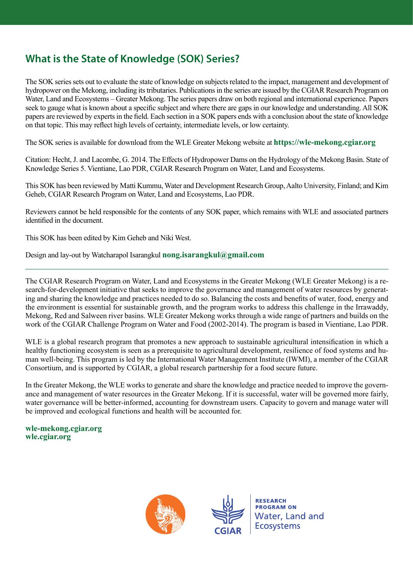## **What is the State of Knowledge (SOK) Series?**

The SOK series sets out to evaluate the state of knowledge on subjects related to the impact, management and development of hydropower on the Mekong, including its tributaries. Publications in the series are issued by the CGIAR Research Program on Water, Land and Ecosystems – Greater Mekong. The series papers draw on both regional and international experience. Papers seek to gauge what is known about a specific subject and where there are gaps in our knowledge and understanding. All SOK papers are reviewed by experts in the field. Each section in a SOK papers ends with a conclusion about the state of knowledge on that topic. This may reflect high levels of certainty, intermediate levels, or low certainty.

The SOK series is available for download from the WLE Greater Mekong website at **https://wle-mekong.cgiar.org** 

Citation: Hecht, J. and Lacombe, G. 2014. The Effects of Hydropower Dams on the Hydrology of the Mekong Basin. State of Knowledge Series 5. Vientiane, Lao PDR, CGIAR Research Program on Water, Land and Ecosystems.

This SOK has been reviewed by Matti Kummu, Water and Development Research Group, Aalto University, Finland; and Kim Geheb, CGIAR Research Program on Water, Land and Ecosystems, Lao PDR.

Reviewers cannot be held responsible for the contents of any SOK paper, which remains with WLE and associated partners identified in the document.

This SOK has been edited by Kim Geheb and Niki West.

Design and lay-out by Watcharapol Isarangkul **nong.isarangkul@gmail.com**

The CGIAR Research Program on Water, Land and Ecosystems in the Greater Mekong (WLE Greater Mekong) is a research-for-development initiative that seeks to improve the governance and management of water resources by generating and sharing the knowledge and practices needed to do so. Balancing the costs and benefits of water, food, energy and the environment is essential for sustainable growth, and the program works to address this challenge in the Irrawaddy, Mekong, Red and Salween river basins. WLE Greater Mekong works through a wide range of partners and builds on the work of the CGIAR Challenge Program on Water and Food (2002-2014). The program is based in Vientiane, Lao PDR.

WLE is a global research program that promotes a new approach to sustainable agricultural intensification in which a healthy functioning ecosystem is seen as a prerequisite to agricultural development, resilience of food systems and human well-being. This program is led by the International Water Management Institute (IWMI), a member of the CGIAR Consortium, and is supported by CGIAR, a global research partnership for a food secure future.

In the Greater Mekong, the WLE works to generate and share the knowledge and practice needed to improve the governance and management of water resources in the Greater Mekong. If it is successful, water will be governed more fairly, water governance will be better-informed, accounting for downstream users. Capacity to govern and manage water will be improved and ecological functions and health will be accounted for.

**wle-mekong.cgiar.org wle.cgiar.org**





**RESEARCH PROGRAM ON Water, Land and Ecosystems**